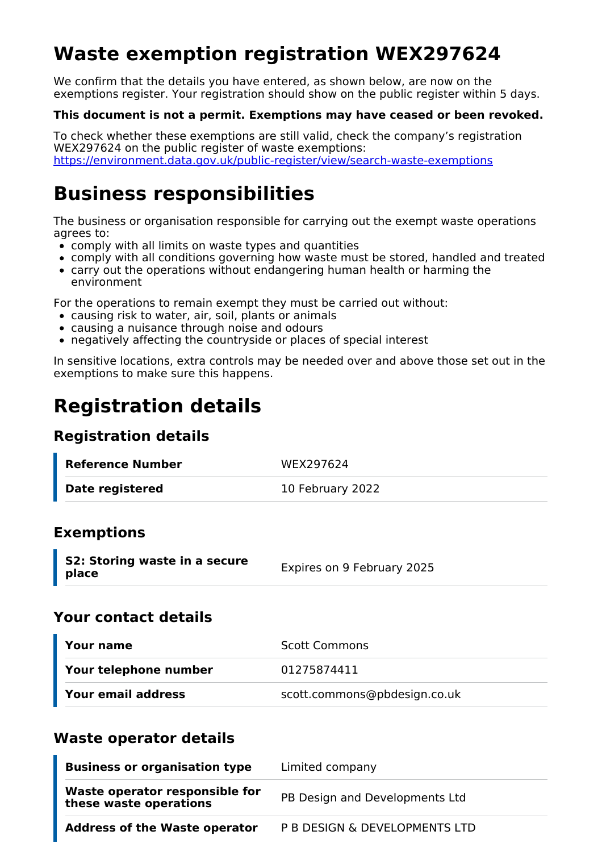# **Waste exemption registration WEX297624**

We confirm that the details you have entered, as shown below, are now on the exemptions register. Your registration should show on the public register within 5 days.

#### **This document is not a permit. Exemptions may have ceased or been revoked.**

To check whether these exemptions are still valid, check the company's registration WEX297624 on the public register of waste exemptions: <https://environment.data.gov.uk/public-register/view/search-waste-exemptions>

## **Business responsibilities**

The business or organisation responsible for carrying out the exempt waste operations agrees to:

- comply with all limits on waste types and quantities
- comply with all conditions governing how waste must be stored, handled and treated
- carry out the operations without endangering human health or harming the environment

For the operations to remain exempt they must be carried out without:

- causing risk to water, air, soil, plants or animals
- causing a nuisance through noise and odours
- negatively affecting the countryside or places of special interest

In sensitive locations, extra controls may be needed over and above those set out in the exemptions to make sure this happens.

## **Registration details**

### **Registration details**

| Reference Number       | WEX297624        |
|------------------------|------------------|
| <b>Date registered</b> | 10 February 2022 |

### **Exemptions**

| S2: Storing waste in a secure | Expires on 9 February 2025 |
|-------------------------------|----------------------------|
| place                         |                            |

#### **Your contact details**

| Your name             | <b>Scott Commons</b>         |
|-----------------------|------------------------------|
| Your telephone number | 01275874411                  |
| Your email address    | scott.commons@pbdesign.co.uk |

### **Waste operator details**

| <b>Business or organisation type</b>                     | Limited company                |
|----------------------------------------------------------|--------------------------------|
| Waste operator responsible for<br>these waste operations | PB Design and Developments Ltd |
| <b>Address of the Waste operator</b>                     | P B DESIGN & DEVELOPMENTS LTD  |